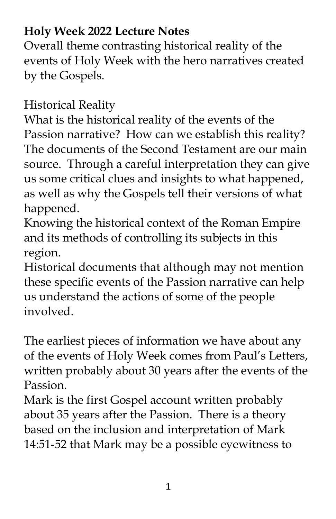## **Holy Week 2022 Lecture Notes**

Overall theme contrasting historical reality of the events of Holy Week with the hero narratives created by the Gospels.

Historical Reality

What is the historical reality of the events of the Passion narrative? How can we establish this reality? The documents of the Second Testament are our main source. Through a careful interpretation they can give us some critical clues and insights to what happened, as well as why the Gospels tell their versions of what happened.

Knowing the historical context of the Roman Empire and its methods of controlling its subjects in this region.

Historical documents that although may not mention these specific events of the Passion narrative can help us understand the actions of some of the people involved.

The earliest pieces of information we have about any of the events of Holy Week comes from Paul's Letters, written probably about 30 years after the events of the Passion.

Mark is the first Gospel account written probably about 35 years after the Passion. There is a theory based on the inclusion and interpretation of Mark 14:51-52 that Mark may be a possible eyewitness to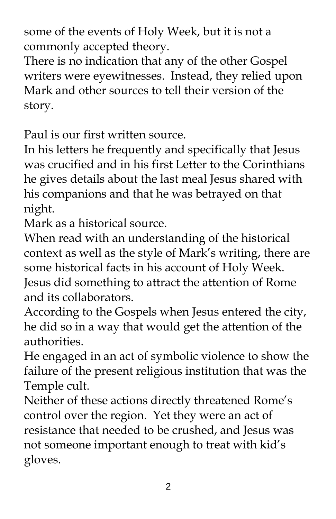some of the events of Holy Week, but it is not a commonly accepted theory.

There is no indication that any of the other Gospel writers were eyewitnesses. Instead, they relied upon Mark and other sources to tell their version of the story.

Paul is our first written source.

In his letters he frequently and specifically that Jesus was crucified and in his first Letter to the Corinthians he gives details about the last meal Jesus shared with his companions and that he was betrayed on that night.

Mark as a historical source.

When read with an understanding of the historical context as well as the style of Mark's writing, there are some historical facts in his account of Holy Week. Jesus did something to attract the attention of Rome and its collaborators.

According to the Gospels when Jesus entered the city, he did so in a way that would get the attention of the authorities.

He engaged in an act of symbolic violence to show the failure of the present religious institution that was the Temple cult.

Neither of these actions directly threatened Rome's control over the region. Yet they were an act of resistance that needed to be crushed, and Jesus was not someone important enough to treat with kid's gloves.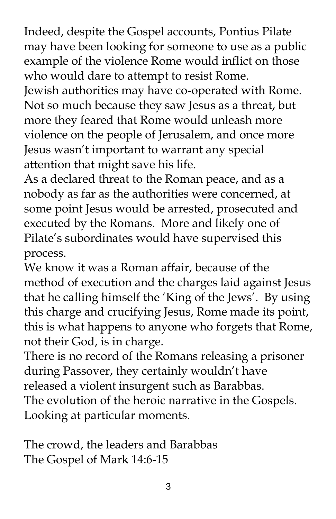Indeed, despite the Gospel accounts, Pontius Pilate may have been looking for someone to use as a public example of the violence Rome would inflict on those who would dare to attempt to resist Rome.

Jewish authorities may have co-operated with Rome. Not so much because they saw Jesus as a threat, but more they feared that Rome would unleash more violence on the people of Jerusalem, and once more Jesus wasn't important to warrant any special attention that might save his life.

As a declared threat to the Roman peace, and as a nobody as far as the authorities were concerned, at some point Jesus would be arrested, prosecuted and executed by the Romans. More and likely one of Pilate's subordinates would have supervised this process.

We know it was a Roman affair, because of the method of execution and the charges laid against Jesus that he calling himself the 'King of the Jews'. By using this charge and crucifying Jesus, Rome made its point, this is what happens to anyone who forgets that Rome, not their God, is in charge.

There is no record of the Romans releasing a prisoner during Passover, they certainly wouldn't have released a violent insurgent such as Barabbas. The evolution of the heroic narrative in the Gospels. Looking at particular moments.

The crowd, the leaders and Barabbas The Gospel of Mark 14:6-15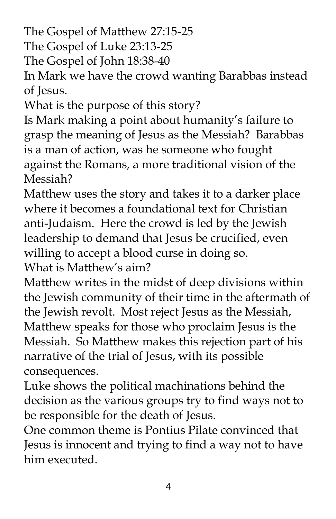The Gospel of Matthew 27:15-25

The Gospel of Luke 23:13-25

The Gospel of John 18:38-40

In Mark we have the crowd wanting Barabbas instead of Jesus.

What is the purpose of this story?

Is Mark making a point about humanity's failure to grasp the meaning of Jesus as the Messiah? Barabbas is a man of action, was he someone who fought against the Romans, a more traditional vision of the Messiah?

Matthew uses the story and takes it to a darker place where it becomes a foundational text for Christian anti-Judaism. Here the crowd is led by the Jewish leadership to demand that Jesus be crucified, even willing to accept a blood curse in doing so.

What is Matthew's aim?

Matthew writes in the midst of deep divisions within the Jewish community of their time in the aftermath of the Jewish revolt. Most reject Jesus as the Messiah, Matthew speaks for those who proclaim Jesus is the Messiah. So Matthew makes this rejection part of his narrative of the trial of Jesus, with its possible consequences.

Luke shows the political machinations behind the decision as the various groups try to find ways not to be responsible for the death of Jesus.

One common theme is Pontius Pilate convinced that Jesus is innocent and trying to find a way not to have him executed.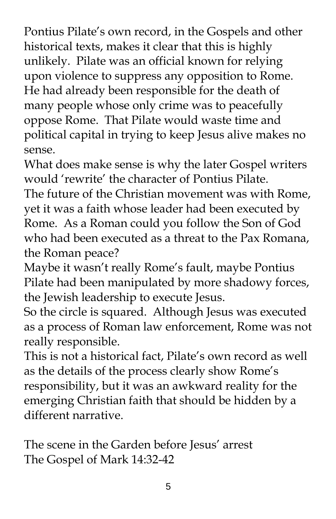Pontius Pilate's own record, in the Gospels and other historical texts, makes it clear that this is highly unlikely. Pilate was an official known for relying upon violence to suppress any opposition to Rome. He had already been responsible for the death of many people whose only crime was to peacefully oppose Rome. That Pilate would waste time and political capital in trying to keep Jesus alive makes no sense.

What does make sense is why the later Gospel writers would 'rewrite' the character of Pontius Pilate.

The future of the Christian movement was with Rome, yet it was a faith whose leader had been executed by Rome. As a Roman could you follow the Son of God who had been executed as a threat to the Pax Romana, the Roman peace?

Maybe it wasn't really Rome's fault, maybe Pontius Pilate had been manipulated by more shadowy forces, the Jewish leadership to execute Jesus.

So the circle is squared. Although Jesus was executed as a process of Roman law enforcement, Rome was not really responsible.

This is not a historical fact, Pilate's own record as well as the details of the process clearly show Rome's responsibility, but it was an awkward reality for the emerging Christian faith that should be hidden by a different narrative.

The scene in the Garden before Jesus' arrest The Gospel of Mark 14:32-42